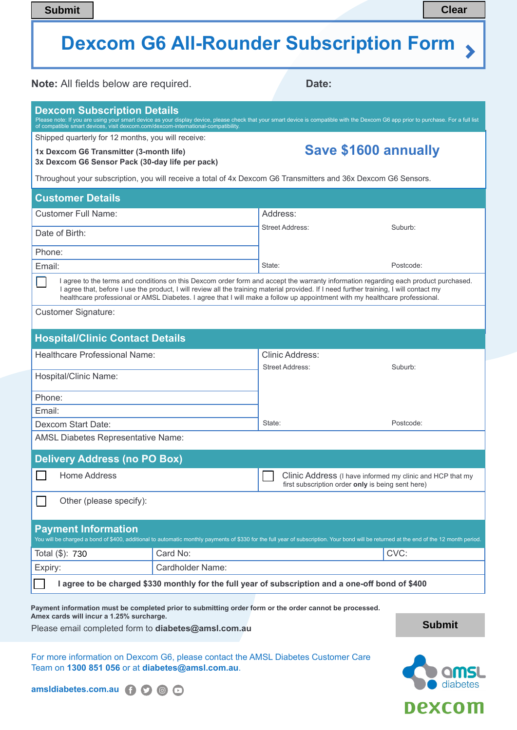# **Dexcom G6 All-Rounder Subscription Form**

| <b>Submit</b>                                                                                                                                                                                                                                                                                                                                                                                                 |                                                                                                                                                               |                        | <b>Clear</b>                                                                                                   |  |  |
|---------------------------------------------------------------------------------------------------------------------------------------------------------------------------------------------------------------------------------------------------------------------------------------------------------------------------------------------------------------------------------------------------------------|---------------------------------------------------------------------------------------------------------------------------------------------------------------|------------------------|----------------------------------------------------------------------------------------------------------------|--|--|
| <b>Dexcom G6 All-Rounder Subscription Form</b>                                                                                                                                                                                                                                                                                                                                                                |                                                                                                                                                               |                        |                                                                                                                |  |  |
|                                                                                                                                                                                                                                                                                                                                                                                                               | <b>Note:</b> All fields below are required.                                                                                                                   | Date:                  |                                                                                                                |  |  |
| <b>Dexcom Subscription Details</b><br>Please note: If you are using your smart device as your display device, please check that your smart device is compatible with the Dexcom G6 app prior to purchase. For a full list<br>of compatible smart devices, visit dexcom.com/dexcom-international-compatibility.                                                                                                |                                                                                                                                                               |                        |                                                                                                                |  |  |
| Shipped quarterly for 12 months, you will receive:<br>1x Dexcom G6 Transmitter (3-month life)<br>3x Dexcom G6 Sensor Pack (30-day life per pack)                                                                                                                                                                                                                                                              |                                                                                                                                                               |                        | <b>Save \$1600 annually</b>                                                                                    |  |  |
| Throughout your subscription, you will receive a total of 4x Dexcom G6 Transmitters and 36x Dexcom G6 Sensors.                                                                                                                                                                                                                                                                                                |                                                                                                                                                               |                        |                                                                                                                |  |  |
| <b>Customer Details</b>                                                                                                                                                                                                                                                                                                                                                                                       |                                                                                                                                                               |                        |                                                                                                                |  |  |
| <b>Customer Full Name:</b>                                                                                                                                                                                                                                                                                                                                                                                    |                                                                                                                                                               | Address:               |                                                                                                                |  |  |
| Date of Birth:                                                                                                                                                                                                                                                                                                                                                                                                |                                                                                                                                                               | <b>Street Address:</b> | Suburb:                                                                                                        |  |  |
| Phone:                                                                                                                                                                                                                                                                                                                                                                                                        |                                                                                                                                                               |                        |                                                                                                                |  |  |
| Email:                                                                                                                                                                                                                                                                                                                                                                                                        |                                                                                                                                                               | State:                 | Postcode:                                                                                                      |  |  |
| I agree to the terms and conditions on this Dexcom order form and accept the warranty information regarding each product purchased.<br>I agree that, before I use the product, I will review all the training material provided. If I need further training, I will contact my<br>healthcare professional or AMSL Diabetes. I agree that I will make a follow up appointment with my healthcare professional. |                                                                                                                                                               |                        |                                                                                                                |  |  |
| <b>Customer Signature:</b>                                                                                                                                                                                                                                                                                                                                                                                    |                                                                                                                                                               |                        |                                                                                                                |  |  |
| <b>Hospital/Clinic Contact Details</b>                                                                                                                                                                                                                                                                                                                                                                        |                                                                                                                                                               |                        |                                                                                                                |  |  |
| Healthcare Professional Name:                                                                                                                                                                                                                                                                                                                                                                                 |                                                                                                                                                               | Clinic Address:        |                                                                                                                |  |  |
| Hospital/Clinic Name:                                                                                                                                                                                                                                                                                                                                                                                         |                                                                                                                                                               | <b>Street Address:</b> | Suburb:                                                                                                        |  |  |
| Phone:                                                                                                                                                                                                                                                                                                                                                                                                        |                                                                                                                                                               |                        |                                                                                                                |  |  |
| Email:                                                                                                                                                                                                                                                                                                                                                                                                        |                                                                                                                                                               |                        |                                                                                                                |  |  |
| Dexcom Start Date:                                                                                                                                                                                                                                                                                                                                                                                            |                                                                                                                                                               | State:                 | Postcode:                                                                                                      |  |  |
|                                                                                                                                                                                                                                                                                                                                                                                                               | <b>AMSL Diabetes Representative Name:</b>                                                                                                                     |                        |                                                                                                                |  |  |
| <b>Delivery Address (no PO Box)</b>                                                                                                                                                                                                                                                                                                                                                                           |                                                                                                                                                               |                        |                                                                                                                |  |  |
| <b>Home Address</b>                                                                                                                                                                                                                                                                                                                                                                                           |                                                                                                                                                               |                        | Clinic Address (I have informed my clinic and HCP that my<br>first subscription order only is being sent here) |  |  |
| Other (please specify):                                                                                                                                                                                                                                                                                                                                                                                       |                                                                                                                                                               |                        |                                                                                                                |  |  |
| <b>Payment Information</b><br>You will be charged a bond of \$400, additional to automatic monthly payments of \$330 for the full year of subscription. Your bond will be returned at the end of the 12 month period.                                                                                                                                                                                         |                                                                                                                                                               |                        |                                                                                                                |  |  |
| Total (\$): 730                                                                                                                                                                                                                                                                                                                                                                                               | Card No:                                                                                                                                                      |                        | CVC:                                                                                                           |  |  |
| Expiry:                                                                                                                                                                                                                                                                                                                                                                                                       | <b>Cardholder Name:</b>                                                                                                                                       |                        |                                                                                                                |  |  |
| I agree to be charged \$330 monthly for the full year of subscription and a one-off bond of \$400                                                                                                                                                                                                                                                                                                             |                                                                                                                                                               |                        |                                                                                                                |  |  |
| Amex cards will incur a 1.25% surcharge.                                                                                                                                                                                                                                                                                                                                                                      | Payment information must be completed prior to submitting order form or the order cannot be processed.<br>Please email completed form to diabetes@amsl.com.au |                        | <b>Submit</b>                                                                                                  |  |  |

For more information on Dexcom G6, please contact the AMSL Diabetes Customer Care Team on **1300 851 056** or at **diabetes@amsl.com.au**.

amsldiabetes.com.au **(i) 3** 3 3